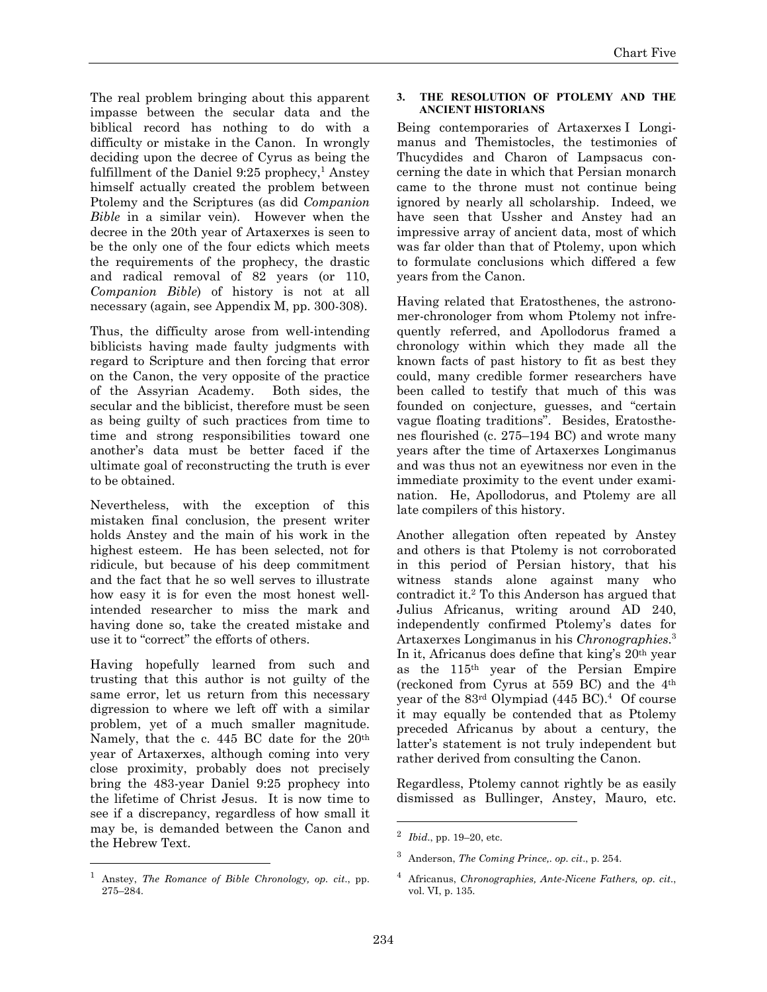The real problem bringing about this apparent impasse between the secular data and the biblical record has nothing to do with a difficulty or mistake in the Canon. In wrongly deciding upon the decree of Cyrus as being the fulfillment of the Daniel 9:25 prophecy, $1$  Anstey himself actually created the problem between Ptolemy and the Scriptures (as did *Companion Bible* in a similar vein). However when the decree in the 20th year of Artaxerxes is seen to be the only one of the four edicts which meets the requirements of the prophecy, the drastic and radical removal of 82 years (or 110, *Companion Bible*) of history is not at all necessary (again, see Appendix M, pp. 300-308).

Thus, the difficulty arose from well-intending biblicists having made faulty judgments with regard to Scripture and then forcing that error on the Canon, the very opposite of the practice of the Assyrian Academy. Both sides, the secular and the biblicist, therefore must be seen as being guilty of such practices from time to time and strong responsibilities toward one another's data must be better faced if the ultimate goal of reconstructing the truth is ever to be obtained.

Nevertheless, with the exception of this mistaken final conclusion, the present writer holds Anstey and the main of his work in the highest esteem. He has been selected, not for ridicule, but because of his deep commitment and the fact that he so well serves to illustrate how easy it is for even the most honest wellintended researcher to miss the mark and having done so, take the created mistake and use it to "correct" the efforts of others.

Having hopefully learned from such and trusting that this author is not guilty of the same error, let us return from this necessary digression to where we left off with a similar problem, yet of a much smaller magnitude. Namely, that the c. 445 BC date for the  $20<sup>th</sup>$ year of Artaxerxes, although coming into very close proximity, probably does not precisely bring the 483-year Daniel 9:25 prophecy into the lifetime of Christ Jesus. It is now time to see if a discrepancy, regardless of how small it may be, is demanded between the Canon and the Hebrew Text.

l

## **3. THE RESOLUTION OF PTOLEMY AND THE ANCIENT HISTORIANS**

Being contemporaries of Artaxerxes I Longimanus and Themistocles, the testimonies of Thucydides and Charon of Lampsacus concerning the date in which that Persian monarch came to the throne must not continue being ignored by nearly all scholarship. Indeed, we have seen that Ussher and Anstey had an impressive array of ancient data, most of which was far older than that of Ptolemy, upon which to formulate conclusions which differed a few years from the Canon.

Having related that Eratosthenes, the astronomer-chronologer from whom Ptolemy not infrequently referred, and Apollodorus framed a chronology within which they made all the known facts of past history to fit as best they could, many credible former researchers have been called to testify that much of this was founded on conjecture, guesses, and "certain vague floating traditions". Besides, Eratosthenes flourished (c. 275–194 BC) and wrote many years after the time of Artaxerxes Longimanus and was thus not an eyewitness nor even in the immediate proximity to the event under examination. He, Apollodorus, and Ptolemy are all late compilers of this history.

Another allegation often repeated by Anstey and others is that Ptolemy is not corroborated in this period of Persian history, that his witness stands alone against many who contradict it.2 To this Anderson has argued that Julius Africanus, writing around AD 240, independently confirmed Ptolemy's dates for Artaxerxes Longimanus in his *Chronographies*. 3 In it, Africanus does define that king's 20th year as the 115th year of the Persian Empire (reckoned from Cyrus at 559 BC) and the 4th year of the  $83<sup>rd</sup>$  Olympiad (445 BC).<sup>4</sup> Of course it may equally be contended that as Ptolemy preceded Africanus by about a century, the latter's statement is not truly independent but rather derived from consulting the Canon.

Regardless, Ptolemy cannot rightly be as easily dismissed as Bullinger, Anstey, Mauro, etc.

l

<sup>1</sup> Anstey, *The Romance of Bible Chronology, op. cit*., pp. 275–284.

<sup>2</sup> *Ibid*., pp. 19–20, etc.

<sup>3</sup> Anderson, *The Coming Prince,. op. cit*., p. 254.

<sup>4</sup> Africanus, *Chronographies, Ante-Nicene Fathers, op. cit*., vol. VI, p. 135.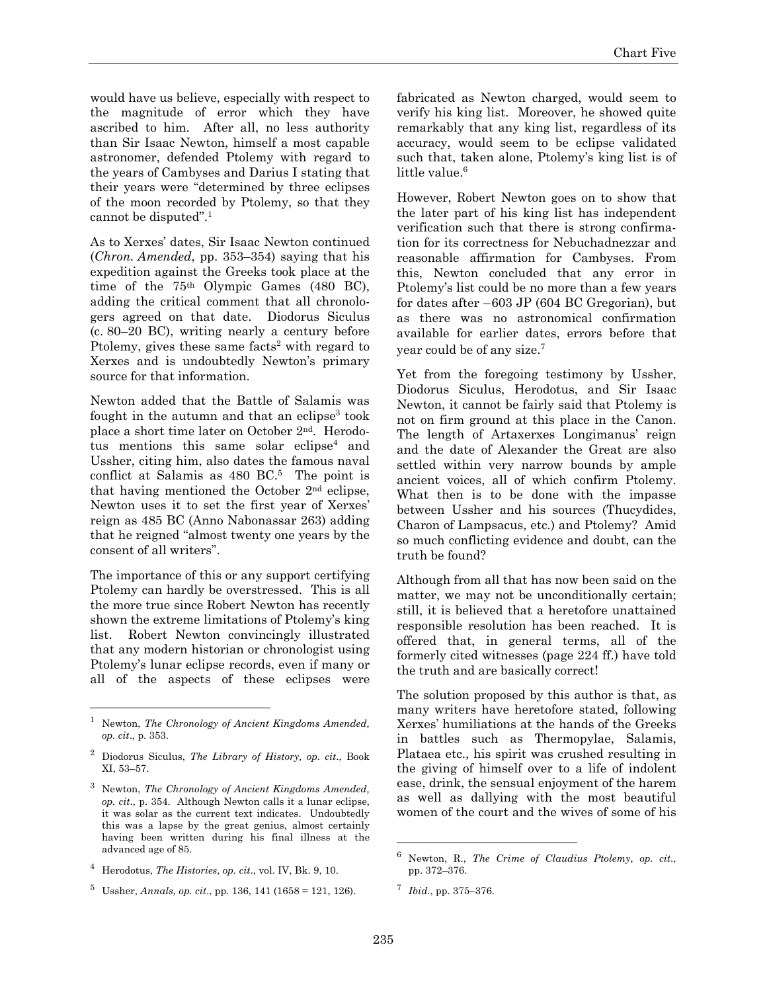would have us believe, especially with respect to the magnitude of error which they have ascribed to him. After all, no less authority than Sir Isaac Newton, himself a most capable astronomer, defended Ptolemy with regard to the years of Cambyses and Darius I stating that their years were "determined by three eclipses of the moon recorded by Ptolemy, so that they cannot be disputed".1

As to Xerxes' dates, Sir Isaac Newton continued (*Chron. Amended*, pp. 353–354) saying that his expedition against the Greeks took place at the time of the 75th Olympic Games (480 BC), adding the critical comment that all chronologers agreed on that date. Diodorus Siculus (c. 80–20 BC), writing nearly a century before Ptolemy, gives these same facts<sup>2</sup> with regard to Xerxes and is undoubtedly Newton's primary source for that information.

Newton added that the Battle of Salamis was fought in the autumn and that an eclipse<sup>3</sup> took place a short time later on October 2nd. Herodotus mentions this same solar eclipse<sup>4</sup> and Ussher, citing him, also dates the famous naval conflict at Salamis as  $480$  BC.<sup>5</sup> The point is that having mentioned the October 2nd eclipse, Newton uses it to set the first year of Xerxes' reign as 485 BC (Anno Nabonassar 263) adding that he reigned "almost twenty one years by the consent of all writers".

The importance of this or any support certifying Ptolemy can hardly be overstressed. This is all the more true since Robert Newton has recently shown the extreme limitations of Ptolemy's king list. Robert Newton convincingly illustrated that any modern historian or chronologist using Ptolemy's lunar eclipse records, even if many or all of the aspects of these eclipses were

-

fabricated as Newton charged, would seem to verify his king list. Moreover, he showed quite remarkably that any king list, regardless of its accuracy, would seem to be eclipse validated such that, taken alone, Ptolemy's king list is of little value.<sup>6</sup>

However, Robert Newton goes on to show that the later part of his king list has independent verification such that there is strong confirmation for its correctness for Nebuchadnezzar and reasonable affirmation for Cambyses. From this, Newton concluded that any error in Ptolemy's list could be no more than a few years for dates after –603 JP (604 BC Gregorian), but as there was no astronomical confirmation available for earlier dates, errors before that year could be of any size.7

Yet from the foregoing testimony by Ussher, Diodorus Siculus, Herodotus, and Sir Isaac Newton, it cannot be fairly said that Ptolemy is not on firm ground at this place in the Canon. The length of Artaxerxes Longimanus' reign and the date of Alexander the Great are also settled within very narrow bounds by ample ancient voices, all of which confirm Ptolemy. What then is to be done with the impasse between Ussher and his sources (Thucydides, Charon of Lampsacus, etc.) and Ptolemy? Amid so much conflicting evidence and doubt, can the truth be found?

Although from all that has now been said on the matter, we may not be unconditionally certain; still, it is believed that a heretofore unattained responsible resolution has been reached. It is offered that, in general terms, all of the formerly cited witnesses (page 224 ff.) have told the truth and are basically correct!

The solution proposed by this author is that, as many writers have heretofore stated, following Xerxes' humiliations at the hands of the Greeks in battles such as Thermopylae, Salamis, Plataea etc., his spirit was crushed resulting in the giving of himself over to a life of indolent ease, drink, the sensual enjoyment of the harem as well as dallying with the most beautiful women of the court and the wives of some of his

 $\overline{a}$ 

<sup>1</sup> Newton, *The Chronology of Ancient Kingdoms Amended, op. cit*., p. 353.

<sup>2</sup> Diodorus Siculus, *The Library of History, op. cit*., Book XI, 53–57.

<sup>3</sup> Newton, *The Chronology of Ancient Kingdoms Amended, op. cit*., p. 354. Although Newton calls it a lunar eclipse, it was solar as the current text indicates. Undoubtedly this was a lapse by the great genius, almost certainly having been written during his final illness at the advanced age of 85.

<sup>4</sup> Herodotus, *The Histories*, *op. cit*., vol. IV, Bk. 9, 10.

 $^5$  Ussher, *Annals, op. cit.*, pp. 136, 141 (1658 = 121, 126).

<sup>6</sup> Newton, R., *The Crime of Claudius Ptolemy, op. cit*., pp. 372–376.

<sup>7</sup> *Ibid*., pp. 375–376.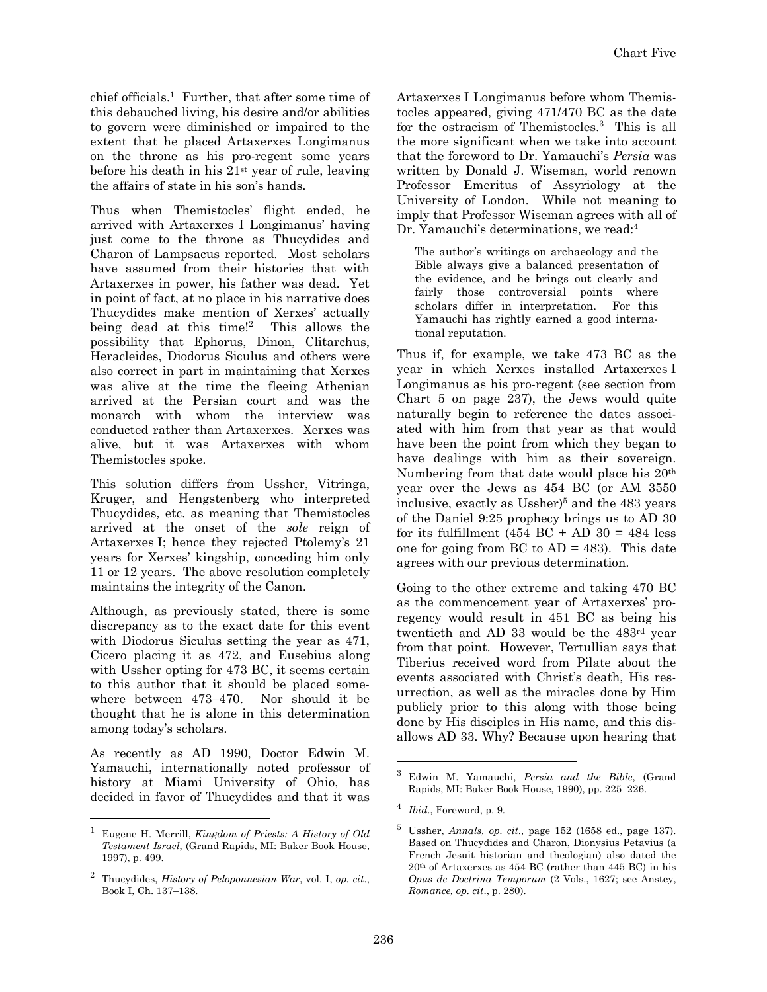chief officials.1 Further, that after some time of this debauched living, his desire and/or abilities to govern were diminished or impaired to the extent that he placed Artaxerxes Longimanus on the throne as his pro-regent some years before his death in his 21st year of rule, leaving the affairs of state in his son's hands.

Thus when Themistocles' flight ended, he arrived with Artaxerxes I Longimanus' having just come to the throne as Thucydides and Charon of Lampsacus reported. Most scholars have assumed from their histories that with Artaxerxes in power, his father was dead. Yet in point of fact, at no place in his narrative does Thucydides make mention of Xerxes' actually being dead at this time!<sup>2</sup> This allows the possibility that Ephorus, Dinon, Clitarchus, Heracleides, Diodorus Siculus and others were also correct in part in maintaining that Xerxes was alive at the time the fleeing Athenian arrived at the Persian court and was the monarch with whom the interview was conducted rather than Artaxerxes. Xerxes was alive, but it was Artaxerxes with whom Themistocles spoke.

This solution differs from Ussher, Vitringa, Kruger, and Hengstenberg who interpreted Thucydides, etc. as meaning that Themistocles arrived at the onset of the *sole* reign of Artaxerxes I; hence they rejected Ptolemy's 21 years for Xerxes' kingship, conceding him only 11 or 12 years. The above resolution completely maintains the integrity of the Canon.

Although, as previously stated, there is some discrepancy as to the exact date for this event with Diodorus Siculus setting the year as 471, Cicero placing it as 472, and Eusebius along with Ussher opting for 473 BC, it seems certain to this author that it should be placed somewhere between 473–470. Nor should it be thought that he is alone in this determination among today's scholars.

As recently as AD 1990, Doctor Edwin M. Yamauchi, internationally noted professor of history at Miami University of Ohio, has decided in favor of Thucydides and that it was

l

Artaxerxes I Longimanus before whom Themistocles appeared, giving 471/470 BC as the date for the ostracism of Themistocles.3 This is all the more significant when we take into account that the foreword to Dr. Yamauchi's *Persia* was written by Donald J. Wiseman, world renown Professor Emeritus of Assyriology at the University of London. While not meaning to imply that Professor Wiseman agrees with all of Dr. Yamauchi's determinations, we read:<sup>4</sup>

The author's writings on archaeology and the Bible always give a balanced presentation of the evidence, and he brings out clearly and fairly those controversial points where scholars differ in interpretation. For this Yamauchi has rightly earned a good international reputation.

Thus if, for example, we take 473 BC as the year in which Xerxes installed Artaxerxes I Longimanus as his pro-regent (see section from Chart 5 on page 237), the Jews would quite naturally begin to reference the dates associated with him from that year as that would have been the point from which they began to have dealings with him as their sovereign. Numbering from that date would place his 20th year over the Jews as 454 BC (or AM 3550 inclusive, exactly as  $Ussher)^5$  and the 483 years of the Daniel 9:25 prophecy brings us to AD 30 for its fulfillment  $(454 \text{ BC} + \text{AD} 30 = 484 \text{ less})$ one for going from BC to  $AD = 483$ ). This date agrees with our previous determination.

Going to the other extreme and taking 470 BC as the commencement year of Artaxerxes' proregency would result in 451 BC as being his twentieth and AD 33 would be the 483rd year from that point. However, Tertullian says that Tiberius received word from Pilate about the events associated with Christ's death, His resurrection, as well as the miracles done by Him publicly prior to this along with those being done by His disciples in His name, and this disallows AD 33. Why? Because upon hearing that

l

<sup>1</sup> Eugene H. Merrill, *Kingdom of Priests: A History of Old Testament Israel*, (Grand Rapids, MI: Baker Book House, 1997), p. 499.

<sup>2</sup> Thucydides, *History of Peloponnesian War*, vol. I, *op. cit*., Book I, Ch. 137–138.

<sup>3</sup> Edwin M. Yamauchi, *Persia and the Bible*, (Grand Rapids, MI: Baker Book House, 1990), pp. 225–226.

<sup>4</sup> *Ibid*., Foreword, p. 9.

<sup>5</sup> Ussher, *Annals, op. cit*., page 152 (1658 ed., page 137). Based on Thucydides and Charon, Dionysius Petavius (a French Jesuit historian and theologian) also dated the 20th of Artaxerxes as 454 BC (rather than 445 BC) in his *Opus de Doctrina Temporum* (2 Vols., 1627; see Anstey, *Romance, op. cit*., p. 280).